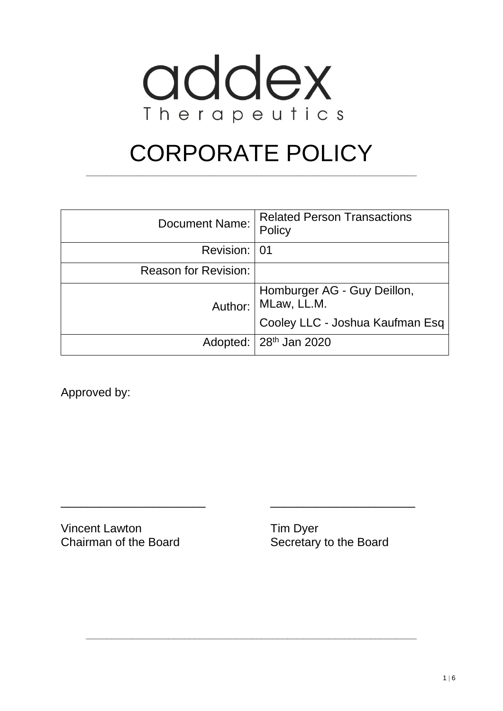

# CORPORATE POLICY

**\_\_\_\_\_\_\_\_\_\_\_\_\_\_\_\_\_\_\_\_\_\_\_\_\_\_\_\_\_\_\_\_\_\_\_\_\_\_\_\_\_\_\_\_\_\_\_\_\_\_\_\_\_\_\_\_\_\_\_\_\_\_\_\_**

| Document Name:              | <b>Related Person Transactions</b><br>Policy |
|-----------------------------|----------------------------------------------|
| Revision: 01                |                                              |
| <b>Reason for Revision:</b> |                                              |
| Author:                     | Homburger AG - Guy Deillon,<br>MLaw, LL.M.   |
|                             | Cooley LLC - Joshua Kaufman Esq              |
|                             | Adopted: 28 <sup>th</sup> Jan 2020           |

\_\_\_\_\_\_\_\_\_\_\_\_\_\_\_\_\_\_\_\_\_\_ \_\_\_\_\_\_\_\_\_\_\_\_\_\_\_\_\_\_\_\_\_\_

**\_\_\_\_\_\_\_\_\_\_\_\_\_\_\_\_\_\_\_\_\_\_\_\_\_\_\_\_\_\_\_\_\_\_\_\_\_\_\_\_\_\_\_\_\_\_\_\_\_\_\_\_\_\_\_\_\_\_\_\_\_\_\_\_**

Approved by:

Vincent Lawton Tim Dyer Chairman of the Board Secretary to the Board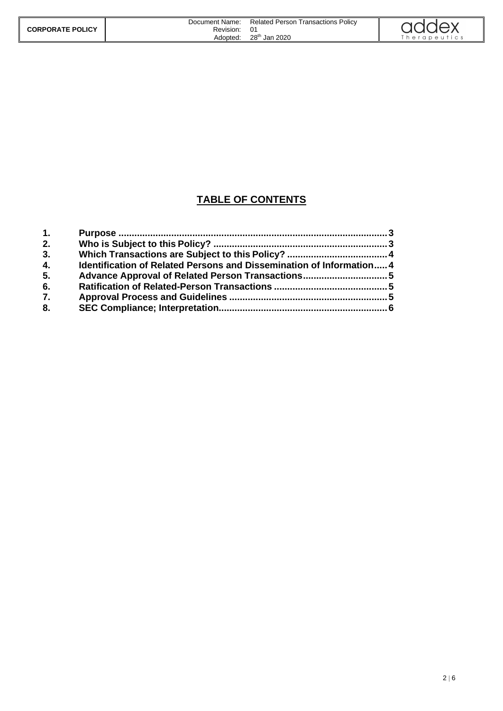|                         | Document Name: | <b>Related Person Transactions Policy</b> |               |
|-------------------------|----------------|-------------------------------------------|---------------|
| <b>CORPORATE POLICY</b> | Revision:      |                                           | addex         |
|                         | Adopted:       | 28 <sup>th</sup> Jan 2020                 | i herapeutics |

#### **TABLE OF CONTENTS**

| 1. |                                                                      |  |
|----|----------------------------------------------------------------------|--|
| 2. |                                                                      |  |
| 3. |                                                                      |  |
| 4. | Identification of Related Persons and Dissemination of Information 4 |  |
| 5. |                                                                      |  |
| 6. |                                                                      |  |
| 7. |                                                                      |  |
| 8. |                                                                      |  |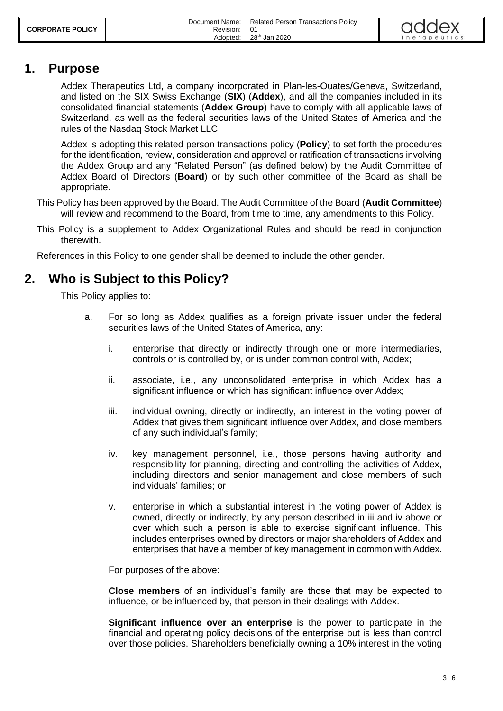|                         | Document Name: | <b>Related Person Transactions Policy</b> |  |
|-------------------------|----------------|-------------------------------------------|--|
| <b>CORPORATE POLICY</b> | Revision:      |                                           |  |
|                         | Adopted:       | 28 <sup>th</sup> Jan 2020                 |  |



## <span id="page-2-0"></span>**1. Purpose**

Addex Therapeutics Ltd, a company incorporated in Plan-les-Ouates/Geneva, Switzerland, and listed on the SIX Swiss Exchange (**SIX**) (**Addex**), and all the companies included in its consolidated financial statements (**Addex Group**) have to comply with all applicable laws of Switzerland, as well as the federal securities laws of the United States of America and the rules of the Nasdaq Stock Market LLC.

Addex is adopting this related person transactions policy (**Policy**) to set forth the procedures for the identification, review, consideration and approval or ratification of transactions involving the Addex Group and any "Related Person" (as defined below) by the Audit Committee of Addex Board of Directors (**Board**) or by such other committee of the Board as shall be appropriate.

This Policy has been approved by the Board. The Audit Committee of the Board (**Audit Committee**) will review and recommend to the Board, from time to time, any amendments to this Policy.

This Policy is a supplement to Addex Organizational Rules and should be read in conjunction therewith.

<span id="page-2-1"></span>References in this Policy to one gender shall be deemed to include the other gender.

# **2. Who is Subject to this Policy?**

This Policy applies to:

- <span id="page-2-2"></span>a. For so long as Addex qualifies as a foreign private issuer under the federal securities laws of the United States of America*,* any:
	- i. enterprise that directly or indirectly through one or more intermediaries, controls or is controlled by, or is under common control with, Addex;
	- ii. associate, i.e., any unconsolidated enterprise in which Addex has a significant influence or which has significant influence over Addex;
	- iii. individual owning, directly or indirectly, an interest in the voting power of Addex that gives them significant influence over Addex, and close members of any such individual's family;
	- iv. key management personnel, i.e., those persons having authority and responsibility for planning, directing and controlling the activities of Addex, including directors and senior management and close members of such individuals' families; or
	- v. enterprise in which a substantial interest in the voting power of Addex is owned, directly or indirectly, by any person described in [iii](#page-2-2) and [iv](#page-2-3) above or over which such a person is able to exercise significant influence. This includes enterprises owned by directors or major shareholders of Addex and enterprises that have a member of key management in common with Addex.

<span id="page-2-3"></span>For purposes of the above:

**Close members** of an individual's family are those that may be expected to influence, or be influenced by, that person in their dealings with Addex.

**Significant influence over an enterprise** is the power to participate in the financial and operating policy decisions of the enterprise but is less than control over those policies. Shareholders beneficially owning a 10% interest in the voting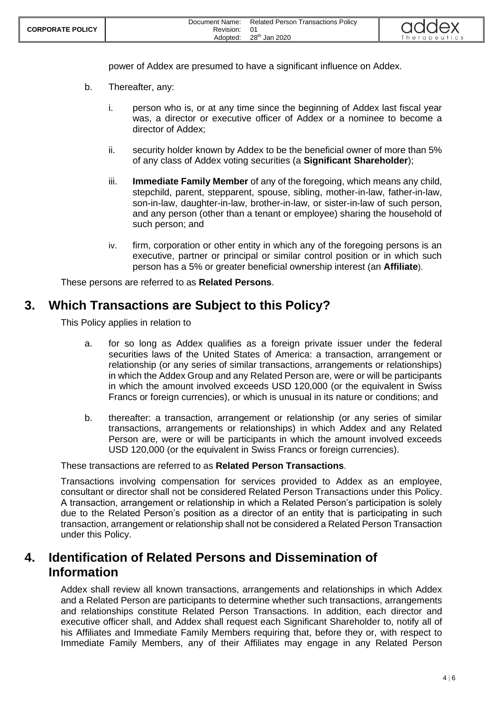

power of Addex are presumed to have a significant influence on Addex.

- b. Thereafter, any:
	- i. person who is, or at any time since the beginning of Addex last fiscal year was, a director or executive officer of Addex or a nominee to become a director of Addex;
	- ii. security holder known by Addex to be the beneficial owner of more than 5% of any class of Addex voting securities (a **Significant Shareholder**);
	- iii. **Immediate Family Member** of any of the foregoing, which means any child, stepchild, parent, stepparent, spouse, sibling, mother-in-law, father-in-law, son-in-law, daughter-in-law, brother-in-law, or sister-in-law of such person, and any person (other than a tenant or employee) sharing the household of such person; and
	- iv. firm, corporation or other entity in which any of the foregoing persons is an executive, partner or principal or similar control position or in which such person has a 5% or greater beneficial ownership interest (an **Affiliate**).

<span id="page-3-0"></span>These persons are referred to as **Related Persons**.

#### **3. Which Transactions are Subject to this Policy?**

This Policy applies in relation to

- a. for so long as Addex qualifies as a foreign private issuer under the federal securities laws of the United States of America: a transaction, arrangement or relationship (or any series of similar transactions, arrangements or relationships) in which the Addex Group and any Related Person are, were or will be participants in which the amount involved exceeds USD 120,000 (or the equivalent in Swiss Francs or foreign currencies), or which is unusual in its nature or conditions; and
- b. thereafter: a transaction, arrangement or relationship (or any series of similar transactions, arrangements or relationships) in which Addex and any Related Person are, were or will be participants in which the amount involved exceeds USD 120,000 (or the equivalent in Swiss Francs or foreign currencies).

These transactions are referred to as **Related Person Transactions**.

Transactions involving compensation for services provided to Addex as an employee, consultant or director shall not be considered Related Person Transactions under this Policy. A transaction, arrangement or relationship in which a Related Person's participation is solely due to the Related Person's position as a director of an entity that is participating in such transaction, arrangement or relationship shall not be considered a Related Person Transaction under this Policy.

#### <span id="page-3-1"></span>**4. Identification of Related Persons and Dissemination of Information**

Addex shall review all known transactions, arrangements and relationships in which Addex and a Related Person are participants to determine whether such transactions, arrangements and relationships constitute Related Person Transactions. In addition, each director and executive officer shall, and Addex shall request each Significant Shareholder to, notify all of his Affiliates and Immediate Family Members requiring that, before they or, with respect to Immediate Family Members, any of their Affiliates may engage in any Related Person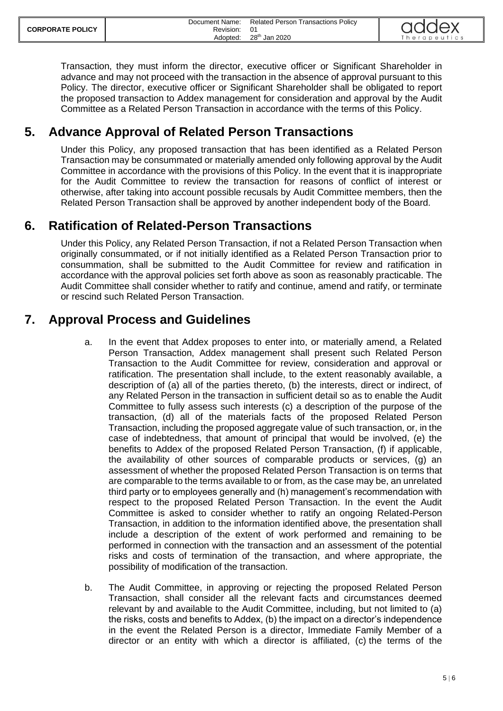Transaction, they must inform the director, executive officer or Significant Shareholder in advance and may not proceed with the transaction in the absence of approval pursuant to this Policy. The director, executive officer or Significant Shareholder shall be obligated to report the proposed transaction to Addex management for consideration and approval by the Audit Committee as a Related Person Transaction in accordance with the terms of this Policy.

# <span id="page-4-0"></span>**5. Advance Approval of Related Person Transactions**

Under this Policy, any proposed transaction that has been identified as a Related Person Transaction may be consummated or materially amended only following approval by the Audit Committee in accordance with the provisions of this Policy. In the event that it is inappropriate for the Audit Committee to review the transaction for reasons of conflict of interest or otherwise, after taking into account possible recusals by Audit Committee members, then the Related Person Transaction shall be approved by another independent body of the Board.

# <span id="page-4-1"></span>**6. Ratification of Related-Person Transactions**

Under this Policy, any Related Person Transaction, if not a Related Person Transaction when originally consummated, or if not initially identified as a Related Person Transaction prior to consummation, shall be submitted to the Audit Committee for review and ratification in accordance with the approval policies set forth above as soon as reasonably practicable. The Audit Committee shall consider whether to ratify and continue, amend and ratify, or terminate or rescind such Related Person Transaction.

## <span id="page-4-2"></span>**7. Approval Process and Guidelines**

- a. In the event that Addex proposes to enter into, or materially amend, a Related Person Transaction, Addex management shall present such Related Person Transaction to the Audit Committee for review, consideration and approval or ratification. The presentation shall include, to the extent reasonably available, a description of (a) all of the parties thereto, (b) the interests, direct or indirect, of any Related Person in the transaction in sufficient detail so as to enable the Audit Committee to fully assess such interests (c) a description of the purpose of the transaction, (d) all of the materials facts of the proposed Related Person Transaction, including the proposed aggregate value of such transaction, or, in the case of indebtedness, that amount of principal that would be involved, (e) the benefits to Addex of the proposed Related Person Transaction, (f) if applicable, the availability of other sources of comparable products or services, (g) an assessment of whether the proposed Related Person Transaction is on terms that are comparable to the terms available to or from, as the case may be, an unrelated third party or to employees generally and (h) management's recommendation with respect to the proposed Related Person Transaction. In the event the Audit Committee is asked to consider whether to ratify an ongoing Related-Person Transaction, in addition to the information identified above, the presentation shall include a description of the extent of work performed and remaining to be performed in connection with the transaction and an assessment of the potential risks and costs of termination of the transaction, and where appropriate, the possibility of modification of the transaction.
- b. The Audit Committee, in approving or rejecting the proposed Related Person Transaction, shall consider all the relevant facts and circumstances deemed relevant by and available to the Audit Committee, including, but not limited to (a) the risks, costs and benefits to Addex, (b) the impact on a director's independence in the event the Related Person is a director, Immediate Family Member of a director or an entity with which a director is affiliated, (c) the terms of the